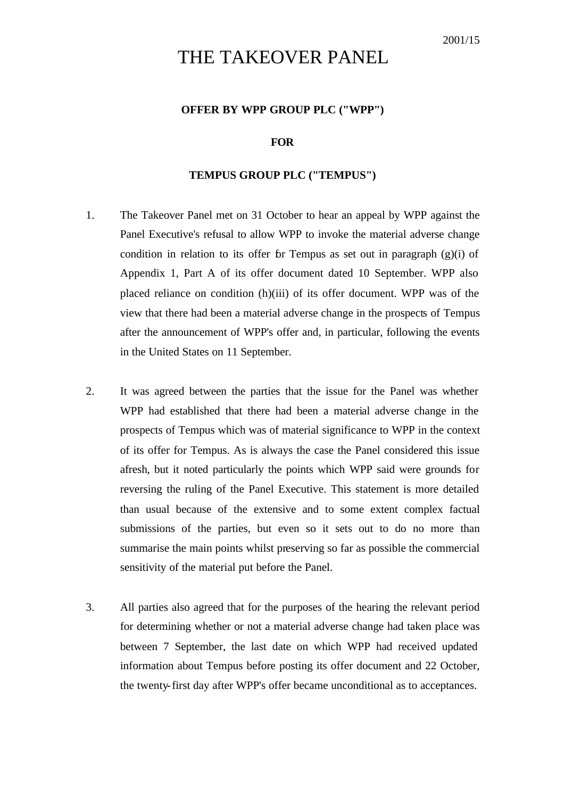# THE TAKEOVER PANEL

#### **OFFER BY WPP GROUP PLC ("WPP")**

#### **FOR**

#### **TEMPUS GROUP PLC ("TEMPUS")**

- 1. The Takeover Panel met on 31 October to hear an appeal by WPP against the Panel Executive's refusal to allow WPP to invoke the material adverse change condition in relation to its offer for Tempus as set out in paragraph  $(g)(i)$  of Appendix 1, Part A of its offer document dated 10 September. WPP also placed reliance on condition (h)(iii) of its offer document. WPP was of the view that there had been a material adverse change in the prospects of Tempus after the announcement of WPP's offer and, in particular, following the events in the United States on 11 September.
- 2. It was agreed between the parties that the issue for the Panel was whether WPP had established that there had been a material adverse change in the prospects of Tempus which was of material significance to WPP in the context of its offer for Tempus. As is always the case the Panel considered this issue afresh, but it noted particularly the points which WPP said were grounds for reversing the ruling of the Panel Executive. This statement is more detailed than usual because of the extensive and to some extent complex factual submissions of the parties, but even so it sets out to do no more than summarise the main points whilst preserving so far as possible the commercial sensitivity of the material put before the Panel.
- 3. All parties also agreed that for the purposes of the hearing the relevant period for determining whether or not a material adverse change had taken place was between 7 September, the last date on which WPP had received updated information about Tempus before posting its offer document and 22 October, the twenty-first day after WPP's offer became unconditional as to acceptances.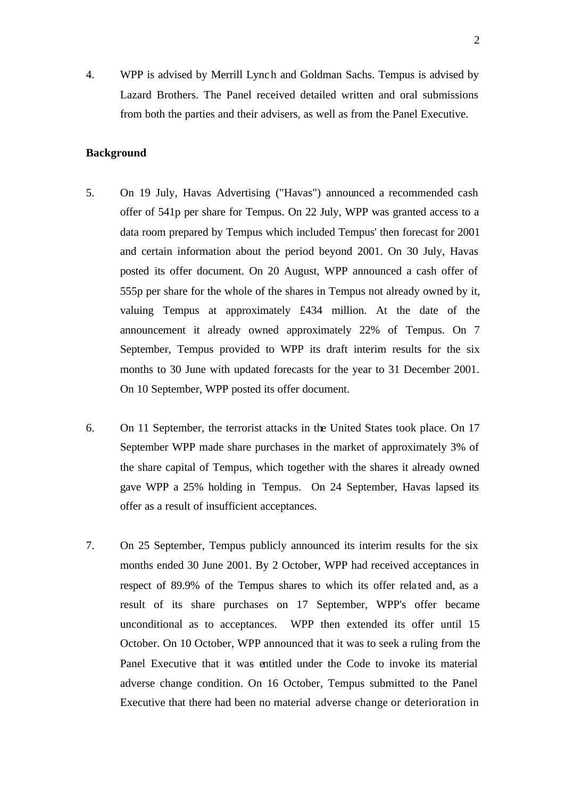4. WPP is advised by Merrill Lynch and Goldman Sachs. Tempus is advised by Lazard Brothers. The Panel received detailed written and oral submissions from both the parties and their advisers, as well as from the Panel Executive.

#### **Background**

- 5. On 19 July, Havas Advertising ("Havas") announced a recommended cash offer of 541p per share for Tempus. On 22 July, WPP was granted access to a data room prepared by Tempus which included Tempus' then forecast for 2001 and certain information about the period beyond 2001. On 30 July, Havas posted its offer document. On 20 August, WPP announced a cash offer of 555p per share for the whole of the shares in Tempus not already owned by it, valuing Tempus at approximately £434 million. At the date of the announcement it already owned approximately 22% of Tempus. On 7 September, Tempus provided to WPP its draft interim results for the six months to 30 June with updated forecasts for the year to 31 December 2001. On 10 September, WPP posted its offer document.
- 6. On 11 September, the terrorist attacks in the United States took place. On 17 September WPP made share purchases in the market of approximately 3% of the share capital of Tempus, which together with the shares it already owned gave WPP a 25% holding in Tempus. On 24 September, Havas lapsed its offer as a result of insufficient acceptances.
- 7. On 25 September, Tempus publicly announced its interim results for the six months ended 30 June 2001. By 2 October, WPP had received acceptances in respect of 89.9% of the Tempus shares to which its offer rela ted and, as a result of its share purchases on 17 September, WPP's offer became unconditional as to acceptances. WPP then extended its offer until 15 October. On 10 October, WPP announced that it was to seek a ruling from the Panel Executive that it was entitled under the Code to invoke its material adverse change condition. On 16 October, Tempus submitted to the Panel Executive that there had been no material adverse change or deterioration in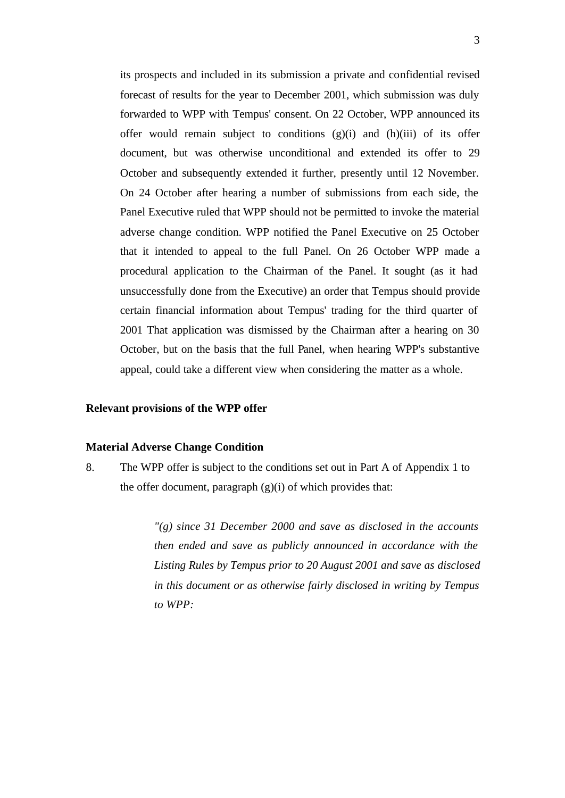its prospects and included in its submission a private and confidential revised forecast of results for the year to December 2001, which submission was duly forwarded to WPP with Tempus' consent. On 22 October, WPP announced its offer would remain subject to conditions  $(g)(i)$  and  $(h)(iii)$  of its offer document, but was otherwise unconditional and extended its offer to 29 October and subsequently extended it further, presently until 12 November. On 24 October after hearing a number of submissions from each side, the Panel Executive ruled that WPP should not be permitted to invoke the material adverse change condition. WPP notified the Panel Executive on 25 October that it intended to appeal to the full Panel. On 26 October WPP made a procedural application to the Chairman of the Panel. It sought (as it had unsuccessfully done from the Executive) an order that Tempus should provide certain financial information about Tempus' trading for the third quarter of 2001 That application was dismissed by the Chairman after a hearing on 30 October, but on the basis that the full Panel, when hearing WPP's substantive appeal, could take a different view when considering the matter as a whole.

#### **Relevant provisions of the WPP offer**

#### **Material Adverse Change Condition**

8. The WPP offer is subject to the conditions set out in Part A of Appendix 1 to the offer document, paragraph  $(g)(i)$  of which provides that:

> *"(g) since 31 December 2000 and save as disclosed in the accounts then ended and save as publicly announced in accordance with the Listing Rules by Tempus prior to 20 August 2001 and save as disclosed in this document or as otherwise fairly disclosed in writing by Tempus to WPP:*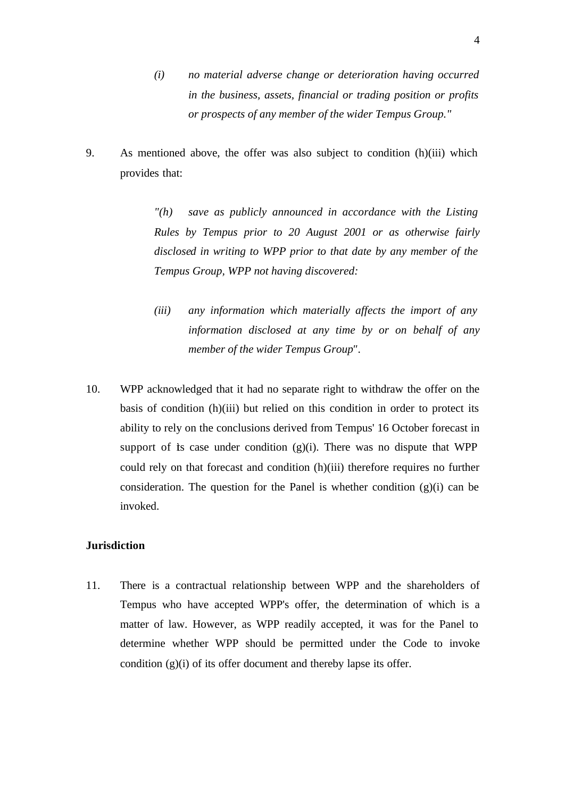- *(i) no material adverse change or deterioration having occurred in the business, assets, financial or trading position or profits or prospects of any member of the wider Tempus Group."*
- 9. As mentioned above, the offer was also subject to condition (h)(iii) which provides that:

*"(h) save as publicly announced in accordance with the Listing Rules by Tempus prior to 20 August 2001 or as otherwise fairly disclosed in writing to WPP prior to that date by any member of the Tempus Group, WPP not having discovered:*

- *(iii) any information which materially affects the import of any information disclosed at any time by or on behalf of any member of the wider Tempus Group".*
- 10. WPP acknowledged that it had no separate right to withdraw the offer on the basis of condition (h)(iii) but relied on this condition in order to protect its ability to rely on the conclusions derived from Tempus' 16 October forecast in support of is case under condition  $(g)(i)$ . There was no dispute that WPP could rely on that forecast and condition (h)(iii) therefore requires no further consideration. The question for the Panel is whether condition  $(g)(i)$  can be invoked.

## **Jurisdiction**

11. There is a contractual relationship between WPP and the shareholders of Tempus who have accepted WPP's offer, the determination of which is a matter of law. However, as WPP readily accepted, it was for the Panel to determine whether WPP should be permitted under the Code to invoke condition (g)(i) of its offer document and thereby lapse its offer.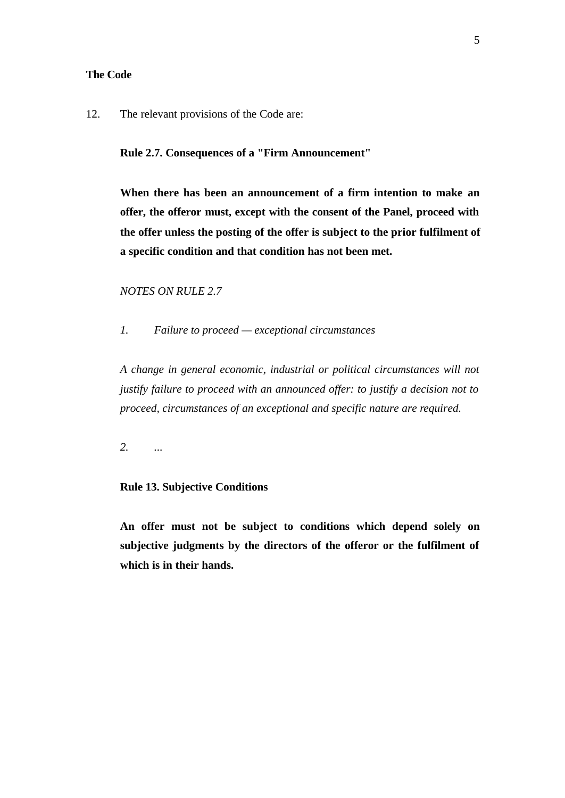#### **The Code**

12. The relevant provisions of the Code are:

**Rule 2.7. Consequences of a "Firm Announcement"**

**When there has been an announcement of a firm intention to make an offer, the offeror must, except with the consent of the Panel, proceed with the offer unless the posting of the offer is subject to the prior fulfilment of a specific condition and that condition has not been met.**

```
NOTES ON RULE 2.7
```
*1. Failure to proceed — exceptional circumstances*

*A change in general economic, industrial or political circumstances will not justify failure to proceed with an announced offer: to justify a decision not to proceed, circumstances of an exceptional and specific nature are required.*

*2. ...*

## **Rule 13. Subjective Conditions**

**An offer must not be subject to conditions which depend solely on subjective judgments by the directors of the offeror or the fulfilment of which is in their hands.**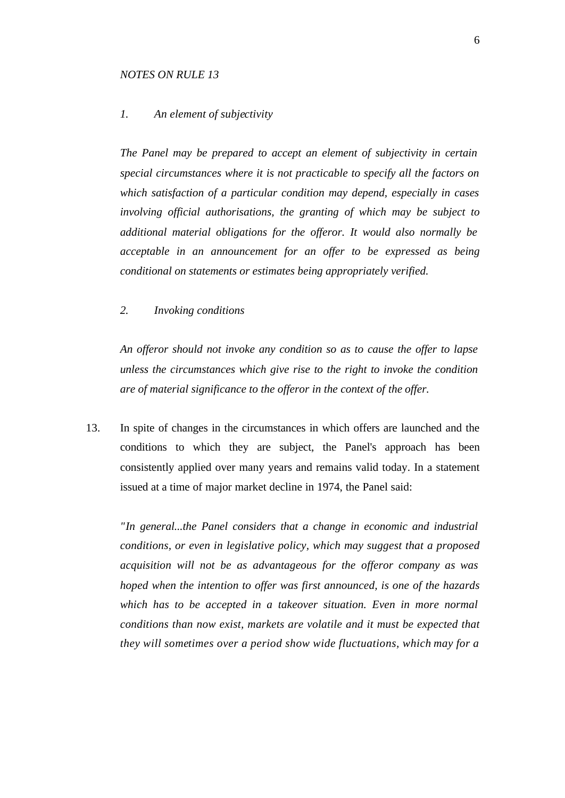#### *NOTES ON RULE 13*

## *1. An element of subjectivity*

*The Panel may be prepared to accept an element of subjectivity in certain special circumstances where it is not practicable to specify all the factors on which satisfaction of a particular condition may depend, especially in cases involving official authorisations, the granting of which may be subject to additional material obligations for the offeror. It would also normally be acceptable in an announcement for an offer to be expressed as being conditional on statements or estimates being appropriately verified.*

*2. Invoking conditions*

*An offeror should not invoke any condition so as to cause the offer to lapse unless the circumstances which give rise to the right to invoke the condition are of material significance to the offeror in the context of the offer.*

13. In spite of changes in the circumstances in which offers are launched and the conditions to which they are subject, the Panel's approach has been consistently applied over many years and remains valid today. In a statement issued at a time of major market decline in 1974, the Panel said:

*"In general...the Panel considers that a change in economic and industrial conditions, or even in legislative policy, which may suggest that a proposed acquisition will not be as advantageous for the offeror company as was hoped when the intention to offer was first announced, is one of the hazards which has to be accepted in a takeover situation. Even in more normal conditions than now exist, markets are volatile and it must be expected that they will sometimes over a period show wide fluctuations, which may for a*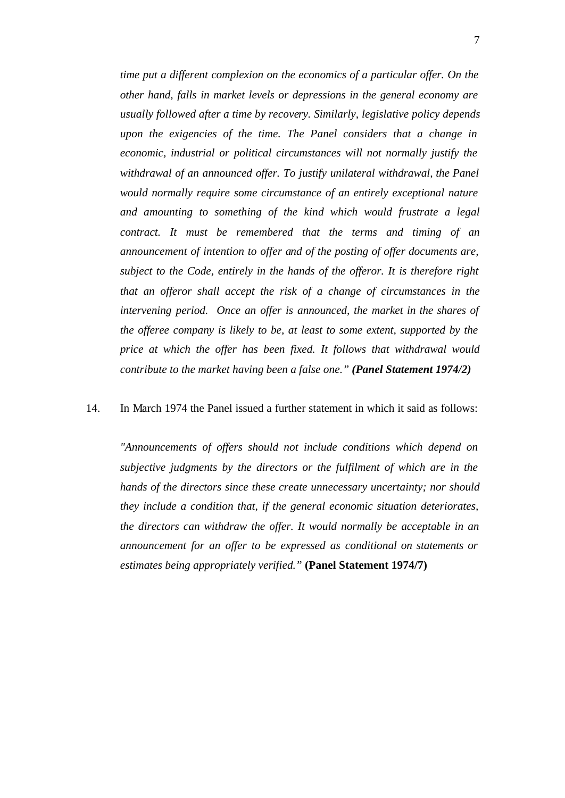*time put a different complexion on the economics of a particular offer. On the other hand, falls in market levels or depressions in the general economy are usually followed after a time by recovery. Similarly, legislative policy depends upon the exigencies of the time. The Panel considers that a change in economic, industrial or political circumstances will not normally justify the*  withdrawal of an announced offer. To justify unilateral withdrawal, the Panel *would normally require some circumstance of an entirely exceptional nature and amounting to something of the kind which would frustrate a legal contract. It must be remembered that the terms and timing of an announcement of intention to offer and of the posting of offer documents are, subject to the Code, entirely in the hands of the offeror. It is therefore right that an offeror shall accept the risk of a change of circumstances in the intervening period. Once an offer is announced, the market in the shares of the offeree company is likely to be, at least to some extent, supported by the price at which the offer has been fixed. It follows that withdrawal would contribute to the market having been a false one." (Panel Statement 1974/2)*

#### 14. In March 1974 the Panel issued a further statement in which it said as follows:

*"Announcements of offers should not include conditions which depend on subjective judgments by the directors or the fulfilment of which are in the hands of the directors since these create unnecessary uncertainty; nor should they include a condition that, if the general economic situation deteriorates, the directors can withdraw the offer. It would normally be acceptable in an announcement for an offer to be expressed as conditional on statements or estimates being appropriately verified."* **(Panel Statement 1974/7)**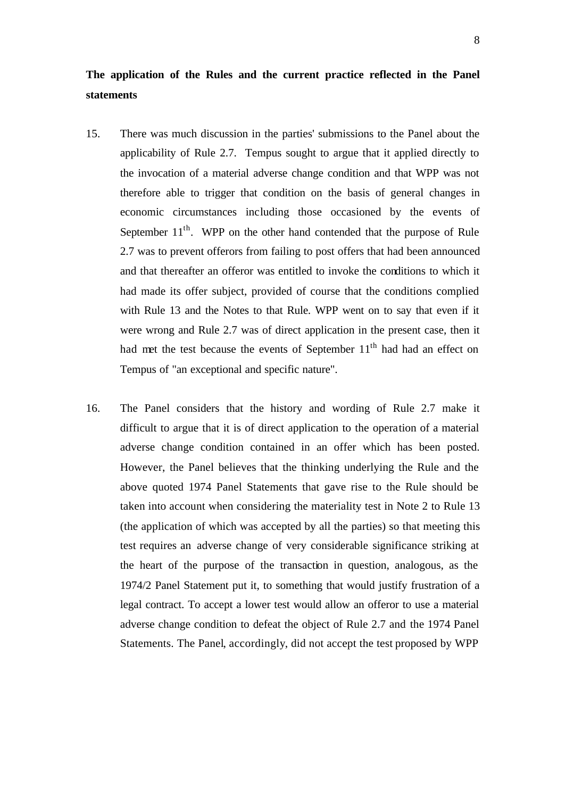## **The application of the Rules and the current practice reflected in the Panel statements**

- 15. There was much discussion in the parties' submissions to the Panel about the applicability of Rule 2.7. Tempus sought to argue that it applied directly to the invocation of a material adverse change condition and that WPP was not therefore able to trigger that condition on the basis of general changes in economic circumstances including those occasioned by the events of September  $11<sup>th</sup>$ . WPP on the other hand contended that the purpose of Rule 2.7 was to prevent offerors from failing to post offers that had been announced and that thereafter an offeror was entitled to invoke the conditions to which it had made its offer subject, provided of course that the conditions complied with Rule 13 and the Notes to that Rule. WPP went on to say that even if it were wrong and Rule 2.7 was of direct application in the present case, then it had met the test because the events of September 11<sup>th</sup> had had an effect on Tempus of "an exceptional and specific nature".
- 16. The Panel considers that the history and wording of Rule 2.7 make it difficult to argue that it is of direct application to the operation of a material adverse change condition contained in an offer which has been posted. However, the Panel believes that the thinking underlying the Rule and the above quoted 1974 Panel Statements that gave rise to the Rule should be taken into account when considering the materiality test in Note 2 to Rule 13 (the application of which was accepted by all the parties) so that meeting this test requires an adverse change of very considerable significance striking at the heart of the purpose of the transaction in question, analogous, as the 1974/2 Panel Statement put it, to something that would justify frustration of a legal contract. To accept a lower test would allow an offeror to use a material adverse change condition to defeat the object of Rule 2.7 and the 1974 Panel Statements. The Panel, accordingly, did not accept the test proposed by WPP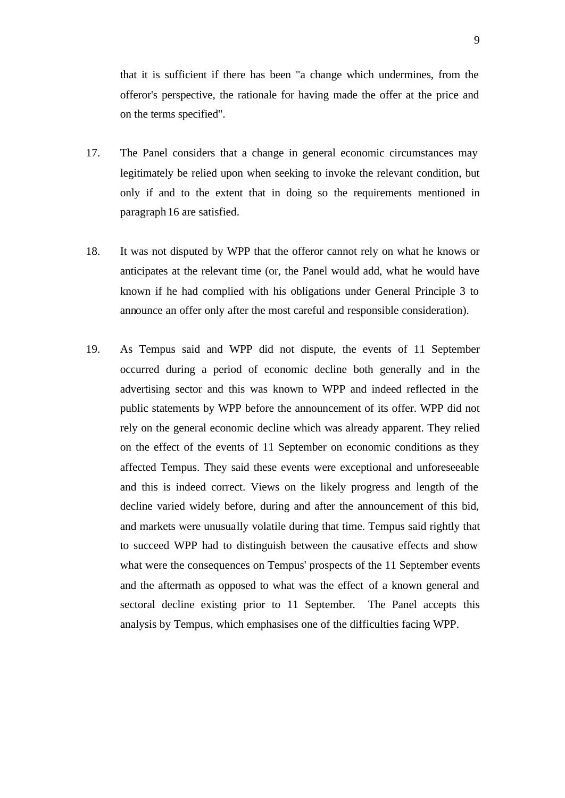that it is sufficient if there has been "a change which undermines, from the offeror's perspective, the rationale for having made the offer at the price and on the terms specified".

- 17. The Panel considers that a change in general economic circumstances may legitimately be relied upon when seeking to invoke the relevant condition, but only if and to the extent that in doing so the requirements mentioned in paragraph 16 are satisfied.
- 18. It was not disputed by WPP that the offeror cannot rely on what he knows or anticipates at the relevant time (or, the Panel would add, what he would have known if he had complied with his obligations under General Principle 3 to announce an offer only after the most careful and responsible consideration).
- 19. As Tempus said and WPP did not dispute, the events of 11 September occurred during a period of economic decline both generally and in the advertising sector and this was known to WPP and indeed reflected in the public statements by WPP before the announcement of its offer. WPP did not rely on the general economic decline which was already apparent. They relied on the effect of the events of 11 September on economic conditions as they affected Tempus. They said these events were exceptional and unforeseeable and this is indeed correct. Views on the likely progress and length of the decline varied widely before, during and after the announcement of this bid, and markets were unusually volatile during that time. Tempus said rightly that to succeed WPP had to distinguish between the causative effects and show what were the consequences on Tempus' prospects of the 11 September events and the aftermath as opposed to what was the effect of a known general and sectoral decline existing prior to 11 September. The Panel accepts this analysis by Tempus, which emphasises one of the difficulties facing WPP.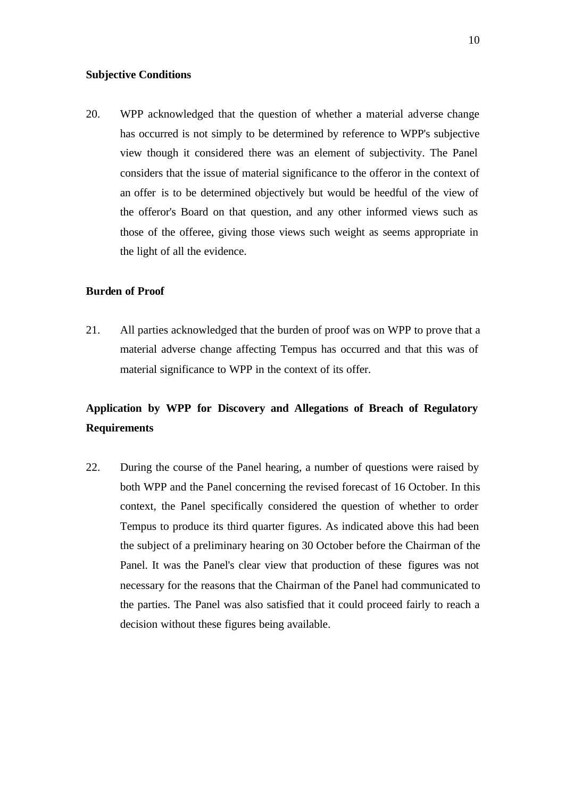#### **Subjective Conditions**

20. WPP acknowledged that the question of whether a material adverse change has occurred is not simply to be determined by reference to WPP's subjective view though it considered there was an element of subjectivity. The Panel considers that the issue of material significance to the offeror in the context of an offer is to be determined objectively but would be heedful of the view of the offeror's Board on that question, and any other informed views such as those of the offeree, giving those views such weight as seems appropriate in the light of all the evidence.

### **Burden of Proof**

21. All parties acknowledged that the burden of proof was on WPP to prove that a material adverse change affecting Tempus has occurred and that this was of material significance to WPP in the context of its offer.

## **Application by WPP for Discovery and Allegations of Breach of Regulatory Requirements**

22. During the course of the Panel hearing, a number of questions were raised by both WPP and the Panel concerning the revised forecast of 16 October. In this context, the Panel specifically considered the question of whether to order Tempus to produce its third quarter figures. As indicated above this had been the subject of a preliminary hearing on 30 October before the Chairman of the Panel. It was the Panel's clear view that production of these figures was not necessary for the reasons that the Chairman of the Panel had communicated to the parties. The Panel was also satisfied that it could proceed fairly to reach a decision without these figures being available.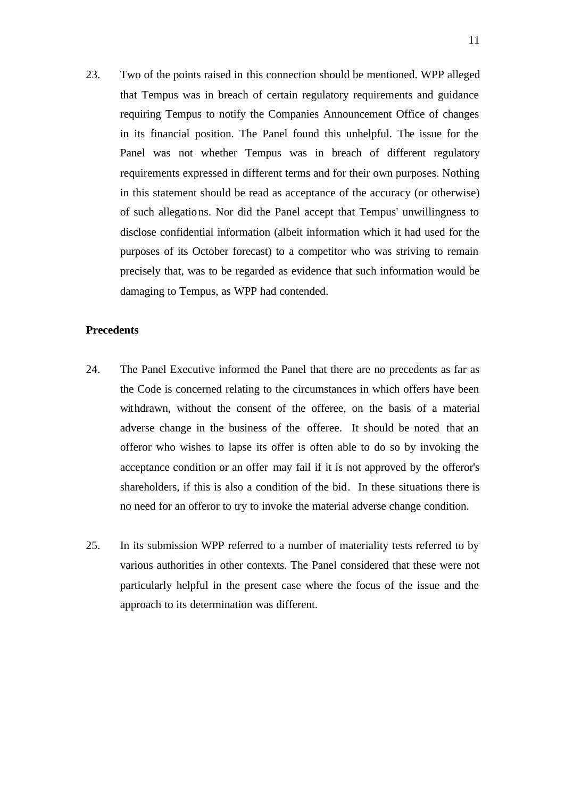23. Two of the points raised in this connection should be mentioned. WPP alleged that Tempus was in breach of certain regulatory requirements and guidance requiring Tempus to notify the Companies Announcement Office of changes in its financial position. The Panel found this unhelpful. The issue for the Panel was not whether Tempus was in breach of different regulatory requirements expressed in different terms and for their own purposes. Nothing in this statement should be read as acceptance of the accuracy (or otherwise) of such allegations. Nor did the Panel accept that Tempus' unwillingness to disclose confidential information (albeit information which it had used for the purposes of its October forecast) to a competitor who was striving to remain precisely that, was to be regarded as evidence that such information would be damaging to Tempus, as WPP had contended.

## **Precedents**

- 24. The Panel Executive informed the Panel that there are no precedents as far as the Code is concerned relating to the circumstances in which offers have been withdrawn, without the consent of the offeree, on the basis of a material adverse change in the business of the offeree. It should be noted that an offeror who wishes to lapse its offer is often able to do so by invoking the acceptance condition or an offer may fail if it is not approved by the offeror's shareholders, if this is also a condition of the bid. In these situations there is no need for an offeror to try to invoke the material adverse change condition.
- 25. In its submission WPP referred to a number of materiality tests referred to by various authorities in other contexts. The Panel considered that these were not particularly helpful in the present case where the focus of the issue and the approach to its determination was different.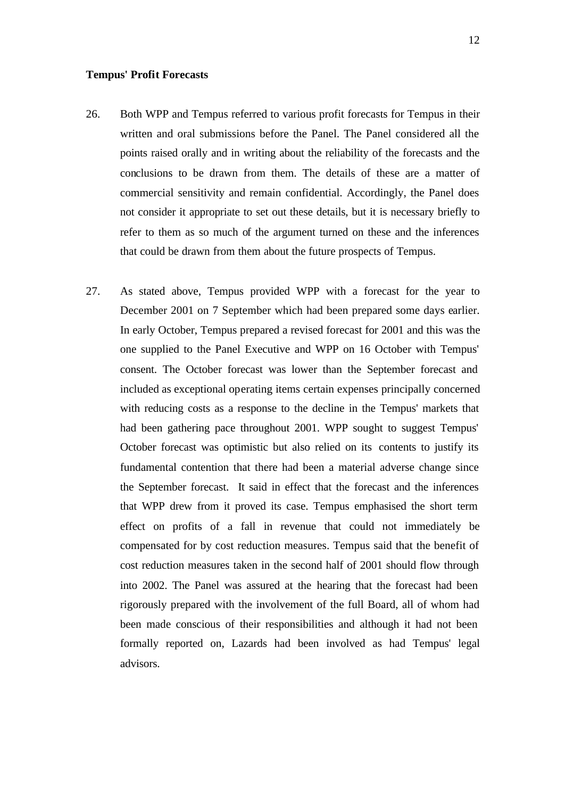#### **Tempus' Profit Forecasts**

- 26. Both WPP and Tempus referred to various profit forecasts for Tempus in their written and oral submissions before the Panel. The Panel considered all the points raised orally and in writing about the reliability of the forecasts and the conclusions to be drawn from them. The details of these are a matter of commercial sensitivity and remain confidential. Accordingly, the Panel does not consider it appropriate to set out these details, but it is necessary briefly to refer to them as so much of the argument turned on these and the inferences that could be drawn from them about the future prospects of Tempus.
- 27. As stated above, Tempus provided WPP with a forecast for the year to December 2001 on 7 September which had been prepared some days earlier. In early October, Tempus prepared a revised forecast for 2001 and this was the one supplied to the Panel Executive and WPP on 16 October with Tempus' consent. The October forecast was lower than the September forecast and included as exceptional operating items certain expenses principally concerned with reducing costs as a response to the decline in the Tempus' markets that had been gathering pace throughout 2001. WPP sought to suggest Tempus' October forecast was optimistic but also relied on its contents to justify its fundamental contention that there had been a material adverse change since the September forecast. It said in effect that the forecast and the inferences that WPP drew from it proved its case. Tempus emphasised the short term effect on profits of a fall in revenue that could not immediately be compensated for by cost reduction measures. Tempus said that the benefit of cost reduction measures taken in the second half of 2001 should flow through into 2002. The Panel was assured at the hearing that the forecast had been rigorously prepared with the involvement of the full Board, all of whom had been made conscious of their responsibilities and although it had not been formally reported on, Lazards had been involved as had Tempus' legal advisors.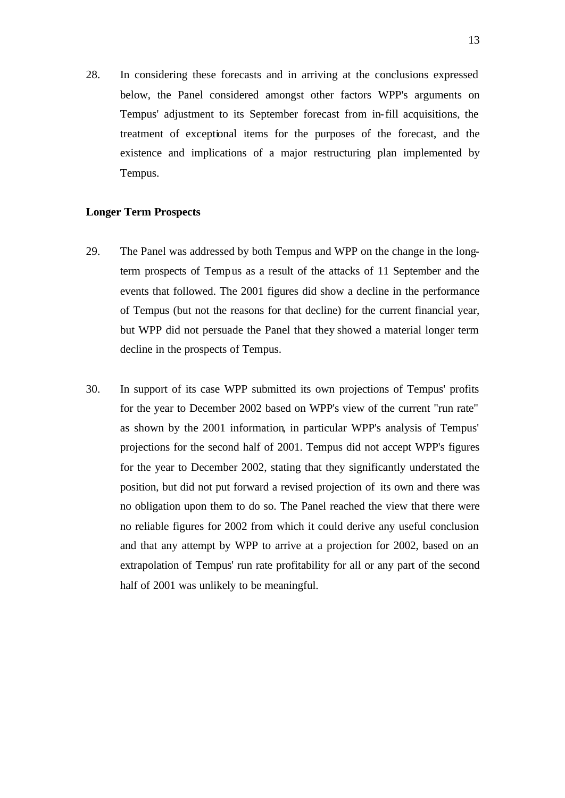28. In considering these forecasts and in arriving at the conclusions expressed below, the Panel considered amongst other factors WPP's arguments on Tempus' adjustment to its September forecast from in-fill acquisitions, the treatment of exceptional items for the purposes of the forecast, and the existence and implications of a major restructuring plan implemented by Tempus.

#### **Longer Term Prospects**

- 29. The Panel was addressed by both Tempus and WPP on the change in the longterm prospects of Tempus as a result of the attacks of 11 September and the events that followed. The 2001 figures did show a decline in the performance of Tempus (but not the reasons for that decline) for the current financial year, but WPP did not persuade the Panel that they showed a material longer term decline in the prospects of Tempus.
- 30. In support of its case WPP submitted its own projections of Tempus' profits for the year to December 2002 based on WPP's view of the current "run rate" as shown by the 2001 information, in particular WPP's analysis of Tempus' projections for the second half of 2001. Tempus did not accept WPP's figures for the year to December 2002, stating that they significantly understated the position, but did not put forward a revised projection of its own and there was no obligation upon them to do so. The Panel reached the view that there were no reliable figures for 2002 from which it could derive any useful conclusion and that any attempt by WPP to arrive at a projection for 2002, based on an extrapolation of Tempus' run rate profitability for all or any part of the second half of 2001 was unlikely to be meaningful.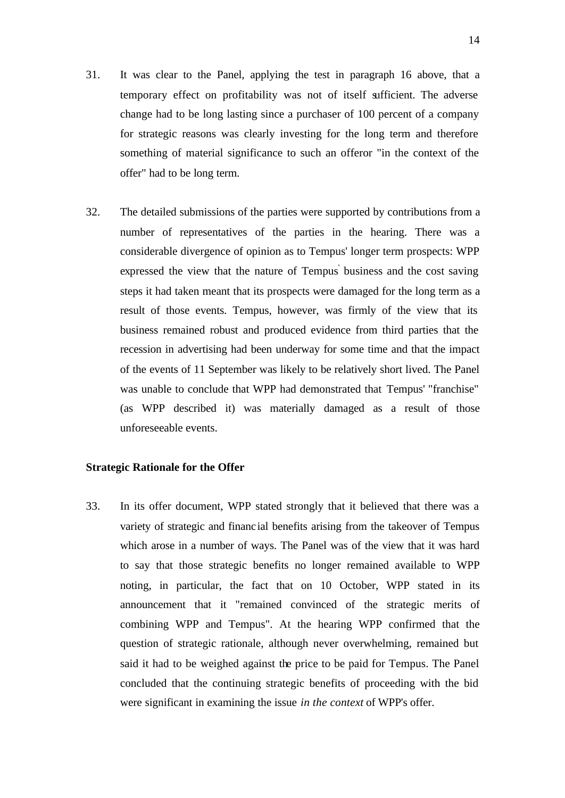- 31. It was clear to the Panel, applying the test in paragraph 16 above, that a temporary effect on profitability was not of itself sufficient. The adverse change had to be long lasting since a purchaser of 100 percent of a company for strategic reasons was clearly investing for the long term and therefore something of material significance to such an offeror "in the context of the offer" had to be long term.
- 32. The detailed submissions of the parties were supported by contributions from a number of representatives of the parties in the hearing. There was a considerable divergence of opinion as to Tempus' longer term prospects: WPP expressed the view that the nature of Tempus business and the cost saving steps it had taken meant that its prospects were damaged for the long term as a result of those events. Tempus, however, was firmly of the view that its business remained robust and produced evidence from third parties that the recession in advertising had been underway for some time and that the impact of the events of 11 September was likely to be relatively short lived. The Panel was unable to conclude that WPP had demonstrated that Tempus' "franchise" (as WPP described it) was materially damaged as a result of those unforeseeable events.

#### **Strategic Rationale for the Offer**

33. In its offer document, WPP stated strongly that it believed that there was a variety of strategic and financ ial benefits arising from the takeover of Tempus which arose in a number of ways. The Panel was of the view that it was hard to say that those strategic benefits no longer remained available to WPP noting, in particular, the fact that on 10 October, WPP stated in its announcement that it "remained convinced of the strategic merits of combining WPP and Tempus". At the hearing WPP confirmed that the question of strategic rationale, although never overwhelming, remained but said it had to be weighed against the price to be paid for Tempus. The Panel concluded that the continuing strategic benefits of proceeding with the bid were significant in examining the issue *in the context* of WPP's offer.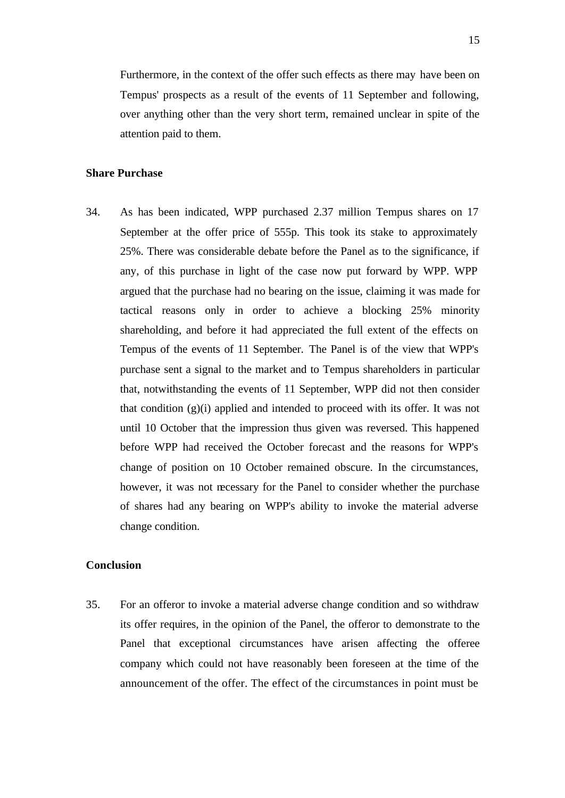Furthermore, in the context of the offer such effects as there may have been on Tempus' prospects as a result of the events of 11 September and following, over anything other than the very short term, remained unclear in spite of the attention paid to them.

#### **Share Purchase**

34. As has been indicated, WPP purchased 2.37 million Tempus shares on 17 September at the offer price of 555p. This took its stake to approximately 25%. There was considerable debate before the Panel as to the significance, if any, of this purchase in light of the case now put forward by WPP. WPP argued that the purchase had no bearing on the issue, claiming it was made for tactical reasons only in order to achieve a blocking 25% minority shareholding, and before it had appreciated the full extent of the effects on Tempus of the events of 11 September. The Panel is of the view that WPP's purchase sent a signal to the market and to Tempus shareholders in particular that, notwithstanding the events of 11 September, WPP did not then consider that condition (g)(i) applied and intended to proceed with its offer. It was not until 10 October that the impression thus given was reversed. This happened before WPP had received the October forecast and the reasons for WPP's change of position on 10 October remained obscure. In the circumstances, however, it was not necessary for the Panel to consider whether the purchase of shares had any bearing on WPP's ability to invoke the material adverse change condition.

## **Conclusion**

35. For an offeror to invoke a material adverse change condition and so withdraw its offer requires, in the opinion of the Panel, the offeror to demonstrate to the Panel that exceptional circumstances have arisen affecting the offeree company which could not have reasonably been foreseen at the time of the announcement of the offer. The effect of the circumstances in point must be